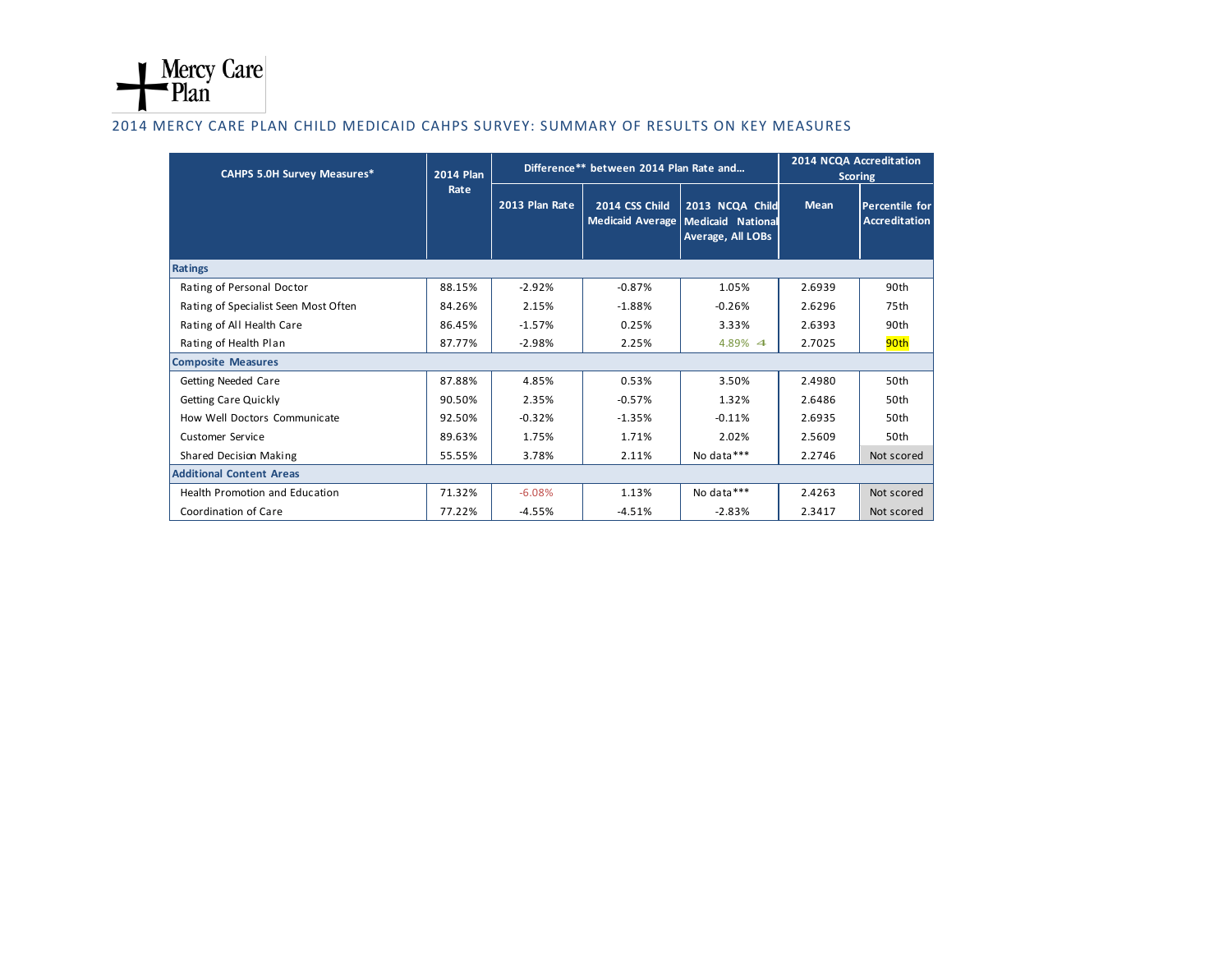

## 2014 MERCY CARE PLAN CHILD MEDICAID CAHPS SURVEY: SUMMARY OF RESULTS ON KEY MEASURES

| <b>CAHPS 5.0H Survey Measures*</b>    | <b>2014 Plan</b><br>Rate | Difference** between 2014 Plan Rate and |                |                                                                            | 2014 NCQA Accreditation<br><b>Scoring</b> |                                               |
|---------------------------------------|--------------------------|-----------------------------------------|----------------|----------------------------------------------------------------------------|-------------------------------------------|-----------------------------------------------|
|                                       |                          | 2013 Plan Rate                          | 2014 CSS Child | 2013 NCQA Child<br>Medicaid Average Medicaid National<br>Average, All LOBs | <b>Mean</b>                               | <b>Percentile for</b><br><b>Accreditation</b> |
| Ratings                               |                          |                                         |                |                                                                            |                                           |                                               |
| Rating of Personal Doctor             | 88.15%                   | $-2.92%$                                | $-0.87%$       | 1.05%                                                                      | 2.6939                                    | 90th                                          |
| Rating of Specialist Seen Most Often  | 84.26%                   | 2.15%                                   | $-1.88%$       | $-0.26%$                                                                   | 2.6296                                    | 75th                                          |
| Rating of All Health Care             | 86.45%                   | $-1.57%$                                | 0.25%          | 3.33%                                                                      | 2.6393                                    | 90th                                          |
| Rating of Health Plan                 | 87.77%                   | $-2.98%$                                | 2.25%          | 4.89% 4                                                                    | 2.7025                                    | 90th                                          |
| <b>Composite Measures</b>             |                          |                                         |                |                                                                            |                                           |                                               |
| Getting Needed Care                   | 87.88%                   | 4.85%                                   | 0.53%          | 3.50%                                                                      | 2.4980                                    | 50th                                          |
| <b>Getting Care Quickly</b>           | 90.50%                   | 2.35%                                   | $-0.57%$       | 1.32%                                                                      | 2.6486                                    | 50th                                          |
| How Well Doctors Communicate          | 92.50%                   | $-0.32%$                                | $-1.35%$       | $-0.11%$                                                                   | 2.6935                                    | 50th                                          |
| Customer Service                      | 89.63%                   | 1.75%                                   | 1.71%          | 2.02%                                                                      | 2.5609                                    | 50th                                          |
| Shared Decision Making                | 55.55%                   | 3.78%                                   | 2.11%          | No data***                                                                 | 2.2746                                    | Not scored                                    |
| <b>Additional Content Areas</b>       |                          |                                         |                |                                                                            |                                           |                                               |
| <b>Health Promotion and Education</b> | 71.32%                   | $-6.08%$                                | 1.13%          | No data***                                                                 | 2.4263                                    | Not scored                                    |
| Coordination of Care                  | 77.22%                   | $-4.55%$                                | $-4.51%$       | $-2.83%$                                                                   | 2.3417                                    | Not scored                                    |